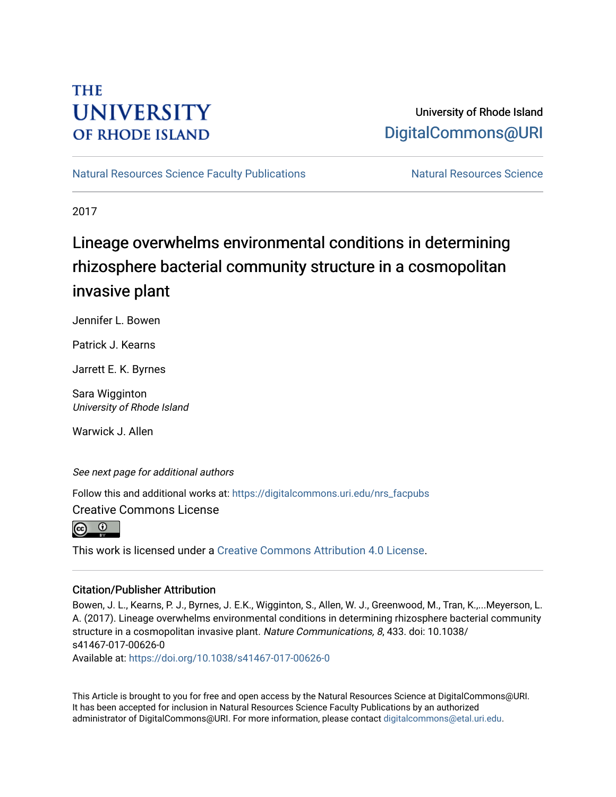### **THE UNIVERSITY OF RHODE ISLAND**

### University of Rhode Island [DigitalCommons@URI](https://digitalcommons.uri.edu/)

[Natural Resources Science Faculty Publications](https://digitalcommons.uri.edu/nrs_facpubs) Natural Resources Science

2017

## Lineage overwhelms environmental conditions in determining rhizosphere bacterial community structure in a cosmopolitan invasive plant

Jennifer L. Bowen

Patrick J. Kearns

Jarrett E. K. Byrnes

Sara Wigginton University of Rhode Island

Warwick J. Allen

See next page for additional authors

Follow this and additional works at: [https://digitalcommons.uri.edu/nrs\\_facpubs](https://digitalcommons.uri.edu/nrs_facpubs?utm_source=digitalcommons.uri.edu%2Fnrs_facpubs%2F111&utm_medium=PDF&utm_campaign=PDFCoverPages) 

Creative Commons License



This work is licensed under a [Creative Commons Attribution 4.0 License](https://creativecommons.org/licenses/by/4.0/).

### Citation/Publisher Attribution

Bowen, J. L., Kearns, P. J., Byrnes, J. E.K., Wigginton, S., Allen, W. J., Greenwood, M., Tran, K.,...Meyerson, L. A. (2017). Lineage overwhelms environmental conditions in determining rhizosphere bacterial community structure in a cosmopolitan invasive plant. Nature Communications, 8, 433. doi: 10.1038/ s41467-017-00626-0

Available at:<https://doi.org/10.1038/s41467-017-00626-0>

This Article is brought to you for free and open access by the Natural Resources Science at DigitalCommons@URI. It has been accepted for inclusion in Natural Resources Science Faculty Publications by an authorized administrator of DigitalCommons@URI. For more information, please contact [digitalcommons@etal.uri.edu.](mailto:digitalcommons@etal.uri.edu)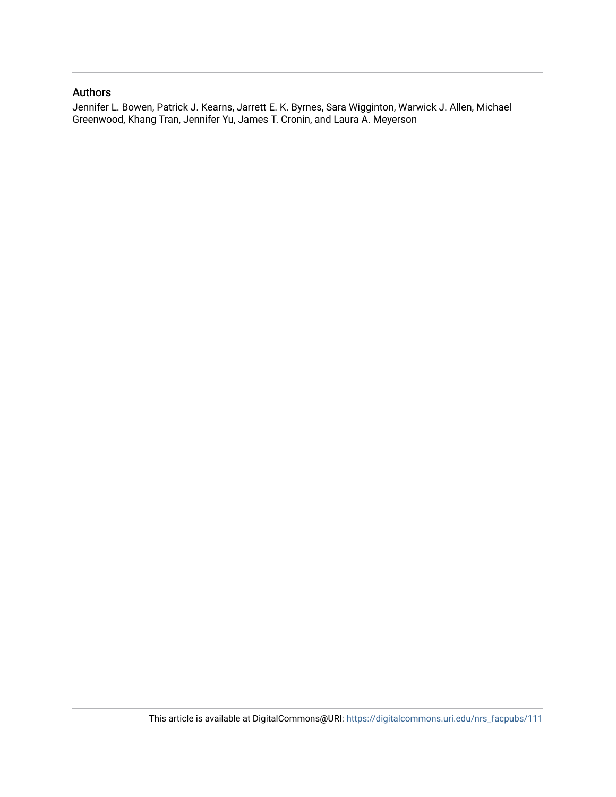#### Authors

Jennifer L. Bowen, Patrick J. Kearns, Jarrett E. K. Byrnes, Sara Wigginton, Warwick J. Allen, Michael Greenwood, Khang Tran, Jennifer Yu, James T. Cronin, and Laura A. Meyerson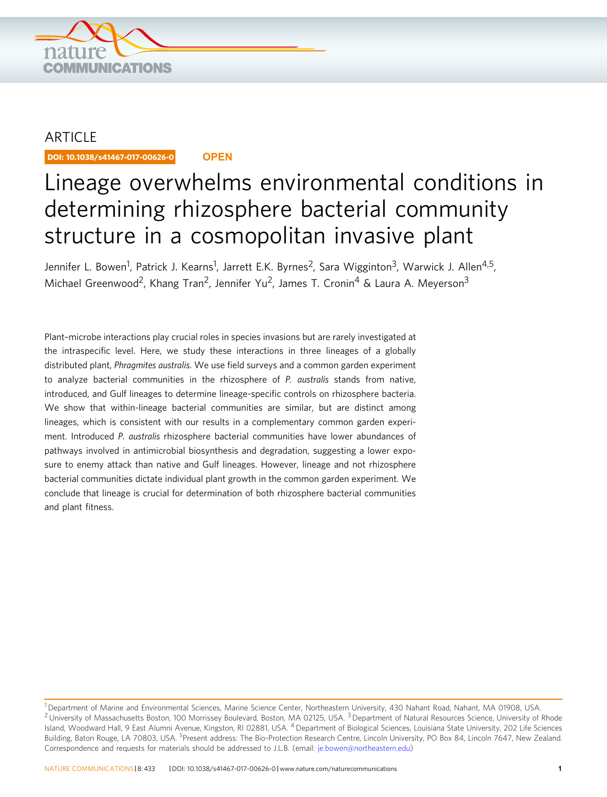

### **ARTICLE**

DOI: 10.1038/s41467-017-00626-0 **OPEN**

# Lineage overwhelms environmental conditions in determining rhizosphere bacterial community structure in a cosmopolitan invasive plant

Jennifer L. Bowen<sup>1</sup>, Patrick J. Kearns<sup>1</sup>, Jarrett E.K. Byrnes<sup>2</sup>, Sara Wigginton<sup>3</sup>, Warwick J. Allen<sup>4,5</sup>, Michael Greenwood<sup>2</sup>, Khang Tran<sup>2</sup>, Jennifer Yu<sup>2</sup>, James T. Cronin<sup>4</sup> & Laura A. Meverson<sup>3</sup>

Plant–microbe interactions play crucial roles in species invasions but are rarely investigated at the intraspecific level. Here, we study these interactions in three lineages of a globally distributed plant, Phragmites australis. We use field surveys and a common garden experiment to analyze bacterial communities in the rhizosphere of P. australis stands from native, introduced, and Gulf lineages to determine lineage-specific controls on rhizosphere bacteria. We show that within-lineage bacterial communities are similar, but are distinct among lineages, which is consistent with our results in a complementary common garden experiment. Introduced P. australis rhizosphere bacterial communities have lower abundances of pathways involved in antimicrobial biosynthesis and degradation, suggesting a lower exposure to enemy attack than native and Gulf lineages. However, lineage and not rhizosphere bacterial communities dictate individual plant growth in the common garden experiment. We conclude that lineage is crucial for determination of both rhizosphere bacterial communities and plant fitness.

<sup>&</sup>lt;sup>1</sup> Department of Marine and Environmental Sciences, Marine Science Center, Northeastern University, 430 Nahant Road, Nahant, MA 01908, USA. <sup>2</sup> University of Massachusetts Boston, 100 Morrissey Boulevard, Boston, MA 02125, USA. <sup>3</sup> Department of Natural Resources Science, University of Rhode Island, Woodward Hall, 9 East Alumni Avenue, Kingston, RI 02881, USA. <sup>4</sup> Department of Biological Sciences, Louisiana State University, 202 Life Sciences Building, Baton Rouge, LA 70803, USA. <sup>5</sup>Present address: The Bio-Protection Research Centre, Lincoln University, PO Box 84, Lincoln 7647, New Zealand. Correspondence and requests for materials should be addressed to J.L.B. (email: [je.bowen@northeastern.edu\)](mailto:je.bowen@northeastern.edu)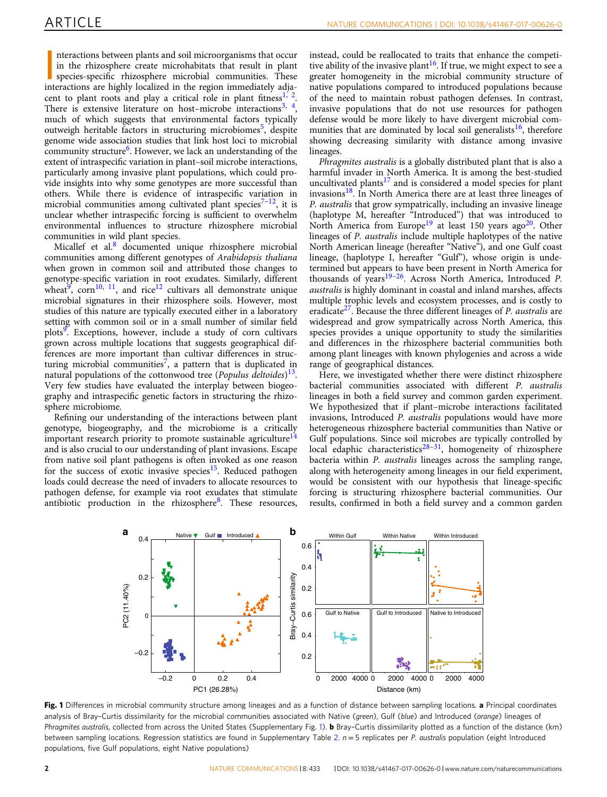<span id="page-3-0"></span>nteractions between plants and soil microorganisms that occur<br>in the rhizosphere create microhabitats that result in plant<br>species-specific rhizosphere microbial communities. These<br>interactions are highly localized in the nteractions between plants and soil microorganisms that occur in the rhizosphere create microhabitats that result in plant species-specific rhizosphere microbial communities. These cent to plant roots and play a critical role in plant fitness<sup>[1,](#page-8-0) 2</sup>. There is extensive literature on host–microbe interactions<sup>[3](#page-8-0), 4</sup>, much of which suggests that environmental factors typically outweigh heritable factors in structuring microbiomes<sup>[5](#page-8-0)</sup>, despite genome wide association studies that link host loci to microbial community structure<sup>[6](#page-8-0)</sup>. However, we lack an understanding of the extent of intraspecific variation in plant–soil microbe interactions, particularly among invasive plant populations, which could provide insights into why some genotypes are more successful than others. While there is evidence of intraspecific variation in microbial communities among cultivated plant species<sup>[7](#page-8-0)-12</sup>, it is unclear whether intraspecific forcing is sufficient to overwhelm environmental influences to structure rhizosphere microbial communities in wild plant species.

Micallef et al.<sup>[8](#page-8-0)</sup> documented unique rhizosphere microbial communities among different genotypes of Arabidopsis thaliana when grown in common soil and attributed those changes to genotype-specific variation in root exudates. Similarly, different wheat<sup>9</sup>, corn<sup>10, [11](#page-8-0)</sup>, and rice<sup>12</sup> cultivars all demonstrate unique microbial signatures in their rhizosphere soils. However, most studies of this nature are typically executed either in a laboratory setting with common soil or in a small number of similar field plots<sup>9</sup>. Exceptions, however, include a study of corn cultivars grown across multiple locations that suggests geographical differences are more important than cultivar differences in struc-turing microbial communities<sup>[7](#page-8-0)</sup>, a pattern that is duplicated in natural populations of the cottonwood tree (Populus deltoides)<sup>13</sup>. Very few studies have evaluated the interplay between biogeography and intraspecific genetic factors in structuring the rhizosphere microbiome.

Refining our understanding of the interactions between plant genotype, biogeography, and the microbiome is a critically important research priority to promote sustainable agriculture<sup>[14](#page-8-0)</sup> and is also crucial to our understanding of plant invasions. Escape from native soil plant pathogens is often invoked as one reason for the success of exotic invasive species<sup>15</sup>. Reduced pathogen loads could decrease the need of invaders to allocate resources to pathogen defense, for example via root exudates that stimulate antibiotic production in the rhizosphere $8$ . These resources, instead, could be reallocated to traits that enhance the competitive ability of the invasive plant<sup>16</sup>. If true, we might expect to see a greater homogeneity in the microbial community structure of native populations compared to introduced populations because of the need to maintain robust pathogen defenses. In contrast, invasive populations that do not use resources for pathogen defense would be more likely to have divergent microbial communities that are dominated by local soil generalists  $16$ , therefore showing decreasing similarity with distance among invasive lineages.

Phragmites australis is a globally distributed plant that is also a harmful invader in North America. It is among the best-studied uncultivated plants $17$  and is considered a model species for plant invasions $^{18}$  $^{18}$  $^{18}$ . In North America there are at least three lineages of P. australis that grow sympatrically, including an invasive lineage (haplotype M, hereafter "Introduced") that was introduced to North America from Europe<sup>19</sup> at least 150 years ago<sup>[20](#page-8-0)</sup>. Other lineages of P. australis include multiple haplotypes of the native North American lineage (hereafter "Native"), and one Gulf coast lineage, (haplotype I, hereafter "Gulf"), whose origin is undetermined but appears to have been present in North America for thousands of years<sup>[19](#page-8-0)–[26](#page-8-0)</sup>. Across North America, Introduced P. australis is highly dominant in coastal and inland marshes, affects multiple trophic levels and ecosystem processes, and is costly to eradicate<sup>27</sup>. Because the three different lineages of P. *australis* are widespread and grow sympatrically across North America, this species provides a unique opportunity to study the similarities and differences in the rhizosphere bacterial communities both among plant lineages with known phylogenies and across a wide range of geographical distances.

Here, we investigated whether there were distinct rhizosphere bacterial communities associated with different P. australis lineages in both a field survey and common garden experiment. We hypothesized that if plant–microbe interactions facilitated invasions, Introduced P. australis populations would have more heterogeneous rhizosphere bacterial communities than Native or Gulf populations. Since soil microbes are typically controlled by local edaphic characteristics<sup>[28](#page-8-0)–31</sup>, homogeneity of rhizosphere bacteria within P. australis lineages across the sampling range, along with heterogeneity among lineages in our field experiment, would be consistent with our hypothesis that lineage-specific forcing is structuring rhizosphere bacterial communities. Our results, confirmed in both a field survey and a common garden



Fig. 1 Differences in microbial community structure among lineages and as a function of distance between sampling locations. a Principal coordinates analysis of Bray-Curtis dissimilarity for the microbial communities associated with Native (green), Gulf (blue) and Introduced (orange) lineages of Phragmites australis, collected from across the United States (Supplementary Fig. 1). **b** Bray-Curtis dissimilarity plotted as a function of the distance (km) between sampling locations. Regression statistics are found in Supplementary Table 2.  $n = 5$  replicates per P. australis population (eight Introduced populations, five Gulf populations, eight Native populations)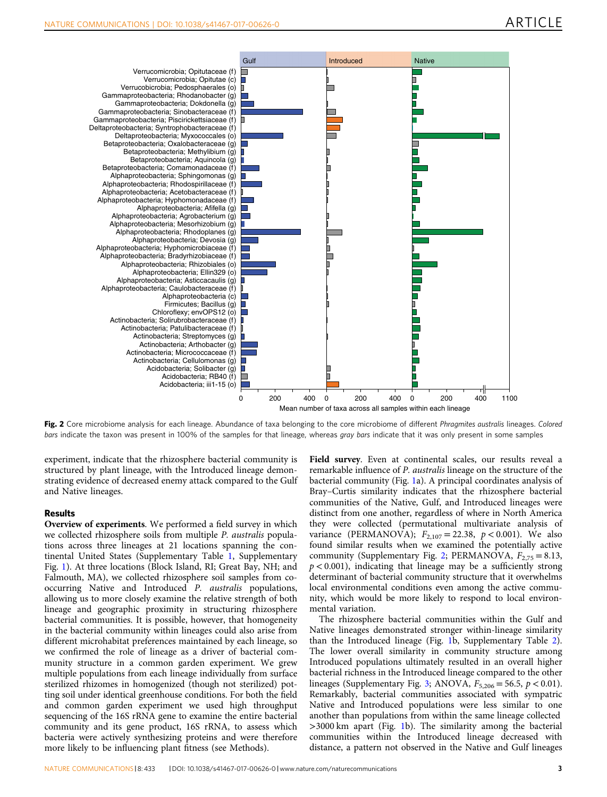<span id="page-4-0"></span>

Fig. 2 Core microbiome analysis for each lineage. Abundance of taxa belonging to the core microbiome of different Phragmites australis lineages. Colored bars indicate the taxon was present in 100% of the samples for that lineage, whereas gray bars indicate that it was only present in some samples

experiment, indicate that the rhizosphere bacterial community is structured by plant lineage, with the Introduced lineage demonstrating evidence of decreased enemy attack compared to the Gulf and Native lineages.

#### Results

Overview of experiments. We performed a field survey in which we collected rhizosphere soils from multiple P. australis populations across three lineages at 21 locations spanning the continental United States (Supplementary Table 1, Supplementary Fig. 1). At three locations (Block Island, RI; Great Bay, NH; and Falmouth, MA), we collected rhizosphere soil samples from cooccurring Native and Introduced P. australis populations, allowing us to more closely examine the relative strength of both lineage and geographic proximity in structuring rhizosphere bacterial communities. It is possible, however, that homogeneity in the bacterial community within lineages could also arise from different microhabitat preferences maintained by each lineage, so we confirmed the role of lineage as a driver of bacterial community structure in a common garden experiment. We grew multiple populations from each lineage individually from surface sterilized rhizomes in homogenized (though not sterilized) potting soil under identical greenhouse conditions. For both the field and common garden experiment we used high throughput sequencing of the 16S rRNA gene to examine the entire bacterial community and its gene product, 16S rRNA, to assess which bacteria were actively synthesizing proteins and were therefore more likely to be influencing plant fitness (see Methods).

Field survey. Even at continental scales, our results reveal a remarkable influence of P. australis lineage on the structure of the bacterial community (Fig. [1a](#page-3-0)). A principal coordinates analysis of Bray–Curtis similarity indicates that the rhizosphere bacterial communities of the Native, Gulf, and Introduced lineages were distinct from one another, regardless of where in North America they were collected (permutational multivariate analysis of variance (PERMANOVA);  $F_{2,107} = 22.38$ ,  $p < 0.001$ ). We also found similar results when we examined the potentially active community (Supplementary Fig. 2; PERMANOVA,  $F_{2,75} = 8.13$ ,  $p < 0.001$ ), indicating that lineage may be a sufficiently strong determinant of bacterial community structure that it overwhelms local environmental conditions even among the active community, which would be more likely to respond to local environmental variation.

The rhizosphere bacterial communities within the Gulf and Native lineages demonstrated stronger within-lineage similarity than the Introduced lineage (Fig. [1](#page-3-0)b, Supplementary Table 2). The lower overall similarity in community structure among Introduced populations ultimately resulted in an overall higher bacterial richness in the Introduced lineage compared to the other lineages (Supplementary Fig. 3; ANOVA,  $F_{5,206} = 56.5$ ,  $p < 0.01$ ). Remarkably, bacterial communities associated with sympatric Native and Introduced populations were less similar to one another than populations from within the same lineage collected >3000 km apart (Fig. [1b](#page-3-0)). The similarity among the bacterial communities within the Introduced lineage decreased with distance, a pattern not observed in the Native and Gulf lineages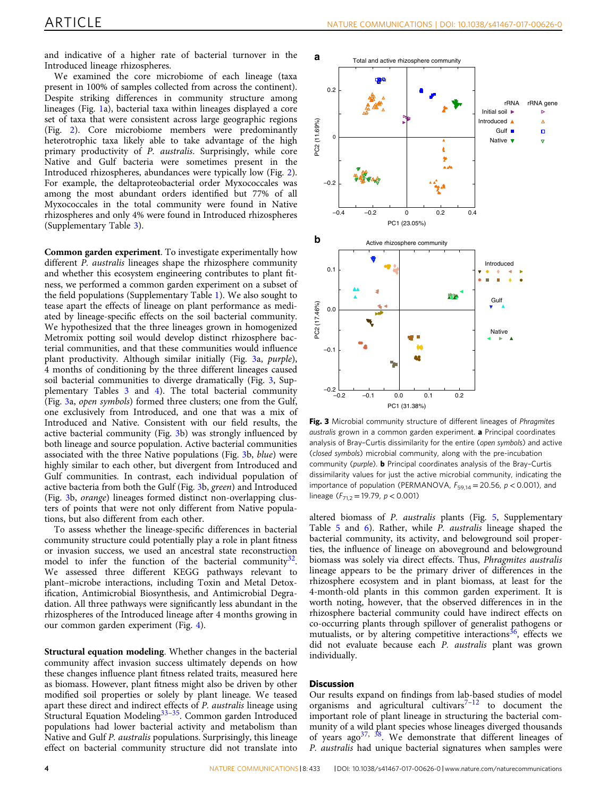and indicative of a higher rate of bacterial turnover in the Introduced lineage rhizospheres.

We examined the core microbiome of each lineage (taxa present in 100% of samples collected from across the continent). Despite striking differences in community structure among lineages (Fig. [1a](#page-3-0)), bacterial taxa within lineages displayed a core set of taxa that were consistent across large geographic regions (Fig. [2](#page-4-0)). Core microbiome members were predominantly heterotrophic taxa likely able to take advantage of the high primary productivity of P. australis. Surprisingly, while core Native and Gulf bacteria were sometimes present in the Introduced rhizospheres, abundances were typically low (Fig. [2](#page-4-0)). For example, the deltaproteobacterial order Myxococcales was among the most abundant orders identified but 77% of all Myxococcales in the total community were found in Native rhizospheres and only 4% were found in Introduced rhizospheres (Supplementary Table 3).

Common garden experiment. To investigate experimentally how different P. australis lineages shape the rhizosphere community and whether this ecosystem engineering contributes to plant fitness, we performed a common garden experiment on a subset of the field populations (Supplementary Table 1). We also sought to tease apart the effects of lineage on plant performance as mediated by lineage-specific effects on the soil bacterial community. We hypothesized that the three lineages grown in homogenized Metromix potting soil would develop distinct rhizosphere bacterial communities, and that these communities would influence plant productivity. Although similar initially (Fig. 3a, purple), 4 months of conditioning by the three different lineages caused soil bacterial communities to diverge dramatically (Fig. 3, Supplementary Tables 3 and 4). The total bacterial community (Fig. 3a, open symbols) formed three clusters; one from the Gulf, one exclusively from Introduced, and one that was a mix of Introduced and Native. Consistent with our field results, the active bacterial community (Fig. 3b) was strongly influenced by both lineage and source population. Active bacterial communities associated with the three Native populations (Fig. 3b, blue) were highly similar to each other, but divergent from Introduced and Gulf communities. In contrast, each individual population of active bacteria from both the Gulf (Fig. 3b, green) and Introduced (Fig. 3b, orange) lineages formed distinct non-overlapping clusters of points that were not only different from Native populations, but also different from each other.

To assess whether the lineage-specific differences in bacterial community structure could potentially play a role in plant fitness or invasion success, we used an ancestral state reconstruction model to infer the function of the bacterial community $32$ . We assessed three different KEGG pathways relevant to plant–microbe interactions, including Toxin and Metal Detoxification, Antimicrobial Biosynthesis, and Antimicrobial Degradation. All three pathways were significantly less abundant in the rhizospheres of the Introduced lineage after 4 months growing in our common garden experiment (Fig. [4\)](#page-6-0).

Structural equation modeling. Whether changes in the bacterial community affect invasion success ultimately depends on how these changes influence plant fitness related traits, measured here as biomass. However, plant fitness might also be driven by other modified soil properties or solely by plant lineage. We teased apart these direct and indirect effects of P. australis lineage using Structural Equation Modeling<sup>[33](#page-8-0)-[35](#page-8-0)</sup>. Common garden Introduced populations had lower bacterial activity and metabolism than Native and Gulf P. australis populations. Surprisingly, this lineage effect on bacterial community structure did not translate into



Fig. 3 Microbial community structure of different lineages of Phragmites australis grown in a common garden experiment. a Principal coordinates analysis of Bray–Curtis dissimilarity for the entire (open symbols) and active (closed symbols) microbial community, along with the pre-incubation community (purple). **b** Principal coordinates analysis of the Bray-Curtis dissimilarity values for just the active microbial community, indicating the importance of population (PERMANOVA,  $F_{59,14} = 20.56$ ,  $p < 0.001$ ), and lineage ( $F_{71.2}$  = 19.79,  $p < 0.001$ )

altered biomass of P. australis plants (Fig. [5](#page-6-0), Supplementary Table 5 and 6). Rather, while P. australis lineage shaped the bacterial community, its activity, and belowground soil properties, the influence of lineage on aboveground and belowground biomass was solely via direct effects. Thus, Phragmites australis lineage appears to be the primary driver of differences in the rhizosphere ecosystem and in plant biomass, at least for the 4-month-old plants in this common garden experiment. It is worth noting, however, that the observed differences in in the rhizosphere bacterial community could have indirect effects on co-occurring plants through spillover of generalist pathogens or mutualists, or by altering competitive interactions<sup>[36](#page-8-0)</sup>, effects we did not evaluate because each P. australis plant was grown individually.

#### **Discussion**

Our results expand on findings from lab-based studies of model organisms and agricultural cultivars<sup>[7](#page-8-0)-[12](#page-8-0)</sup> to document the important role of plant lineage in structuring the bacterial community of a wild plant species whose lineages diverged thousands of years ago<sup>[37](#page-8-0), [38](#page-8-0)</sup>. We demonstrate that different lineages of P. australis had unique bacterial signatures when samples were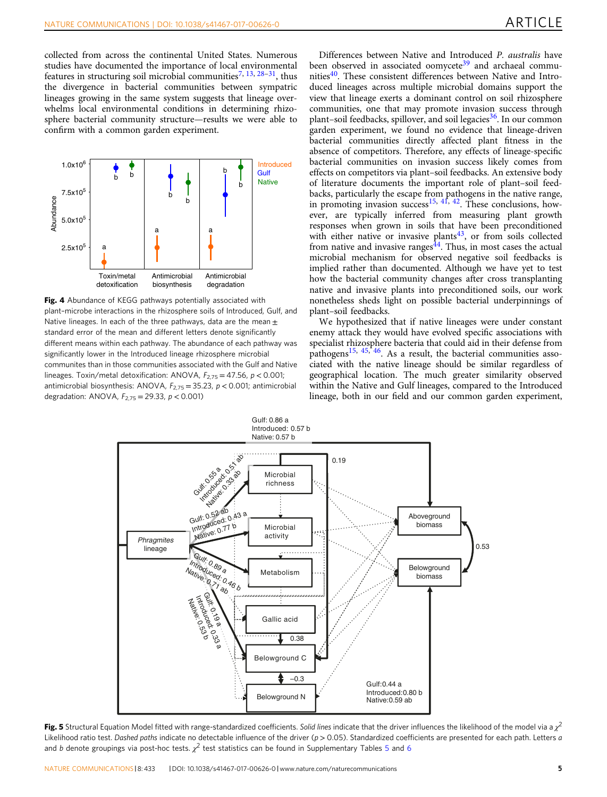<span id="page-6-0"></span>collected from across the continental United States. Numerous studies have documented the importance of local environmental features in structuring soil microbial communities<sup>[7,](#page-8-0) [13,](#page-8-0) [28](#page-8-0)–31</sup>, thus the divergence in bacterial communities between sympatric lineages growing in the same system suggests that lineage overwhelms local environmental conditions in determining rhizosphere bacterial community structure—results we were able to confirm with a common garden experiment.



Fig. 4 Abundance of KEGG pathways potentially associated with plant–microbe interactions in the rhizosphere soils of Introduced, Gulf, and Native lineages. In each of the three pathways, data are the mean  $\pm$ standard error of the mean and different letters denote significantly different means within each pathway. The abundance of each pathway was significantly lower in the Introduced lineage rhizosphere microbial communites than in those communities associated with the Gulf and Native lineages. Toxin/metal detoxification: ANOVA,  $F_{2.75} = 47.56$ ,  $p < 0.001$ ; antimicrobial biosynthesis: ANOVA,  $F_{2,75} = 35.23$ ,  $p < 0.001$ ; antimicrobial degradation: ANOVA,  $F_{2,75} = 29.33$ ,  $p < 0.001$ )

Differences between Native and Introduced P. australis have been observed in associated oomycete<sup>[39](#page-8-0)</sup> and archaeal commu-nities<sup>[40](#page-9-0)</sup>. These consistent differences between Native and Introduced lineages across multiple microbial domains support the view that lineage exerts a dominant control on soil rhizosphere communities, one that may promote invasion success through plant–soil feedbacks, spillover, and soil legacies  $36$ . In our common garden experiment, we found no evidence that lineage-driven bacterial communities directly affected plant fitness in the absence of competitors. Therefore, any effects of lineage-specific bacterial communities on invasion success likely comes from effects on competitors via plant–soil feedbacks. An extensive body of literature documents the important role of plant–soil feedbacks, particularly the escape from pathogens in the native range, in promoting invasion success $^{15, 41, 42}$  $^{15, 41, 42}$  $^{15, 41, 42}$  $^{15, 41, 42}$  $^{15, 41, 42}$  $^{15, 41, 42}$  $^{15, 41, 42}$ . These conclusions, however, are typically inferred from measuring plant growth responses when grown in soils that have been preconditioned with either native or invasive plants<sup>43</sup>, or from soils collected from native and invasive ranges $^{44}$  $^{44}$  $^{44}$ . Thus, in most cases the actual microbial mechanism for observed negative soil feedbacks is implied rather than documented. Although we have yet to test how the bacterial community changes after cross transplanting native and invasive plants into preconditioned soils, our work nonetheless sheds light on possible bacterial underpinnings of plant–soil feedbacks.

We hypothesized that if native lineages were under constant enemy attack they would have evolved specific associations with specialist rhizosphere bacteria that could aid in their defense from pathogens<sup>[15](#page-8-0), [45,](#page-9-0) 46</sup>. As a result, the bacterial communities associated with the native lineage should be similar regardless of geographical location. The much greater similarity observed within the Native and Gulf lineages, compared to the Introduced lineage, both in our field and our common garden experiment,



Fig. 5 Structural Equation Model fitted with range-standardized coefficients. Solid lines indicate that the driver influences the likelihood of the model via a  $\chi^2$ Likelihood ratio test. Dashed paths indicate no detectable influence of the driver (p > 0.05). Standardized coefficients are presented for each path. Letters a and b denote groupings via post-hoc tests.  $\chi^2$  test statistics can be found in Supplementary Tables 5 and 6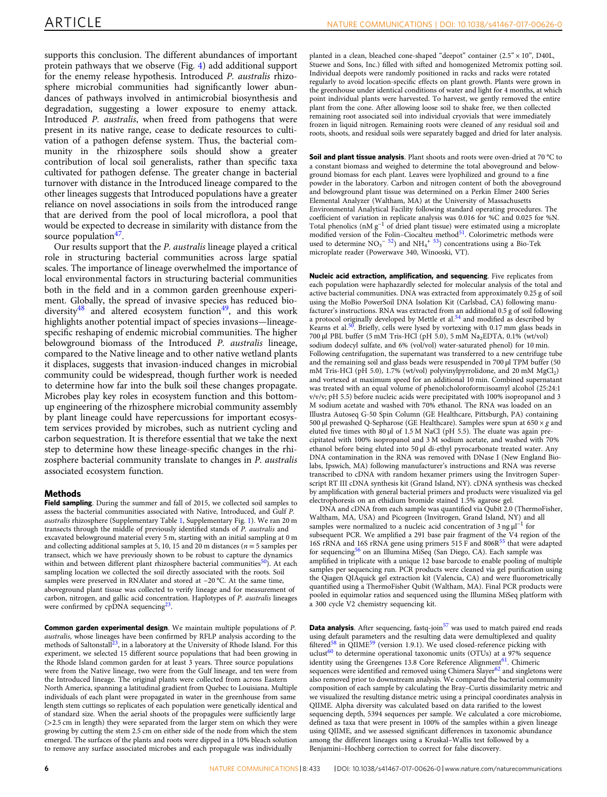supports this conclusion. The different abundances of important protein pathways that we observe (Fig. [4\)](#page-6-0) add additional support for the enemy release hypothesis. Introduced P. australis rhizosphere microbial communities had significantly lower abundances of pathways involved in antimicrobial biosynthesis and degradation, suggesting a lower exposure to enemy attack. Introduced P. australis, when freed from pathogens that were present in its native range, cease to dedicate resources to cultivation of a pathogen defense system. Thus, the bacterial community in the rhizosphere soils should show a greater contribution of local soil generalists, rather than specific taxa cultivated for pathogen defense. The greater change in bacterial turnover with distance in the Introduced lineage compared to the other lineages suggests that Introduced populations have a greater reliance on novel associations in soils from the introduced range that are derived from the pool of local microflora, a pool that would be expected to decrease in similarity with distance from the source population $47$ .

Our results support that the P. australis lineage played a critical role in structuring bacterial communities across large spatial scales. The importance of lineage overwhelmed the importance of local environmental factors in structuring bacterial communities both in the field and in a common garden greenhouse experiment. Globally, the spread of invasive species has reduced biodiversity $48$  and altered ecosystem function $49$ , and this work highlights another potential impact of species invasions—lineagespecific reshaping of endemic microbial communities. The higher belowground biomass of the Introduced P. australis lineage, compared to the Native lineage and to other native wetland plants it displaces, suggests that invasion-induced changes in microbial community could be widespread, though further work is needed to determine how far into the bulk soil these changes propagate. Microbes play key roles in ecosystem function and this bottomup engineering of the rhizosphere microbial community assembly by plant lineage could have repercussions for important ecosystem services provided by microbes, such as nutrient cycling and carbon sequestration. It is therefore essential that we take the next step to determine how these lineage-specific changes in the rhizosphere bacterial community translate to changes in P. australis associated ecosystem function.

#### Methods

Field sampling. During the summer and fall of 2015, we collected soil samples to assess the bacterial communities associated with Native, Introduced, and Gulf P. australis rhizosphere (Supplementary Table 1, Supplementary Fig. 1). We ran 20 m transects through the middle of previously identified stands of P. australis and excavated belowground material every 5 m, starting with an initial sampling at 0 m and collecting additional samples at 5, 10, 15 and 20 m distances ( $n = 5$  samples per transect, which we have previously shown to be robust to capture the dynamics within and between different plant rhizosphere bacterial communities $50$ ). At each sampling location we collected the soil directly associated with the roots. Soil samples were preserved in RNAlater and stored at −20 °C. At the same time, aboveground plant tissue was collected to verify lineage and for measurement of carbon, nitrogen, and gallic acid concentration. Haplotypes of P. australis lineages were confirmed by cpDNA sequencing<sup>23</sup>.

Common garden experimental design. We maintain multiple populations of P. australis, whose lineages have been confirmed by RFLP analysis according to the methods of Saltonstall<sup>23</sup>, in a laboratory at the University of Rhode Island. For this experiment, we selected 15 different source populations that had been growing in the Rhode Island common garden for at least 3 years. Three source populations were from the Native lineage, two were from the Gulf lineage, and ten were from the Introduced lineage. The original plants were collected from across Eastern North America, spanning a latitudinal gradient from Quebec to Louisiana. Multiple individuals of each plant were propagated in water in the greenhouse from same length stem cuttings so replicates of each population were genetically identical and of standard size. When the aerial shoots of the propagules were sufficiently large (>2.5 cm in length) they were separated from the larger stem on which they were growing by cutting the stem 2.5 cm on either side of the node from which the stem emerged. The surfaces of the plants and roots were dipped in a 10% bleach solution to remove any surface associated microbes and each propagule was individually

planted in a clean, bleached cone-shaped "deepot" container  $(2.5" \times 10"$ , D40L, Stuewe and Sons, Inc.) filled with sifted and homogenized Metromix potting soil. Individual deepots were randomly positioned in racks and racks were rotated regularly to avoid location-specific effects on plant growth. Plants were grown in the greenhouse under identical conditions of water and light for 4 months, at which point individual plants were harvested. To harvest, we gently removed the entire plant from the cone. After allowing loose soil to shake free, we then collected remaining root associated soil into individual cryovials that were immediately frozen in liquid nitrogen. Remaining roots were cleaned of any residual soil and roots, shoots, and residual soils were separately bagged and dried for later analysis.

**Soil and plant tissue analysis**. Plant shoots and roots were oven-dried at 70 °C to a constant biomass and weighed to determine the total aboveground and belowground biomass for each plant. Leaves were lyophilized and ground to a fine powder in the laboratory. Carbon and nitrogen content of both the aboveground and belowground plant tissue was determined on a Perkin Elmer 2400 Series Elemental Analyzer (Waltham, MA) at the University of Massachusetts Environmental Analytical Facility following standard operating procedures. The coefficient of variation in replicate analysis was 0.016 for %C and 0.025 for %N. Total phenolics (nM g−<sup>1</sup> of dried plant tissue) were estimated using a microplate modified version of the Folin-Ciocalteu method<sup>51</sup>. Colorimetric methods were used to determine  $NO_3$ <sup>-[52](#page-9-0)</sup>) and  $NH_4$ <sup>+53</sup>) concentrations using a Bio-Tek microplate reader (Powerwave 340, Winooski, VT).

Nucleic acid extraction, amplification, and sequencing. Five replicates from each population were haphazardly selected for molecular analysis of the total and active bacterial communities. DNA was extracted from approximately 0.25 g of soil using the MoBio PowerSoil DNA Isolation Kit (Carlsbad, CA) following manufacturer's instructions. RNA was extracted from an additional 0.5 g of soil following a protocol originally developed by Mettle et al.<sup>[54](#page-9-0)</sup> and modified as described by Kearns et al.<sup>[50](#page-9-0)</sup>. Briefly, cells were lysed by vortexing with 0.17 mm glass beads in 700 µl PBL buffer (5 mM Tris-HCl (pH 5.0), 5 mM Na2EDTA, 0.1% (wt/vol) sodium dodecyl sulfate, and 6% (vol/vol) water-saturated phenol) for 10 min. Following centrifugation, the supernatant was transferred to a new centrifuge tube and the remaining soil and glass beads were resuspended in 700 µl TPM buffer (50 mM Tris-HCl (pH 5.0), 1.7% (wt/vol) polyvinylpyrrolidone, and 20 mM MgCl<sub>2</sub>) and vortexed at maximum speed for an additional 10 min. Combined supernatant was treated with an equal volume of phenol:choloroform:isoamyl alcohol (25:24:1 v/v/v; pH 5.5) before nucleic acids were precipitated with 100% isopropanol and 3 M sodium acetate and washed with 70% ethanol. The RNA was loaded on an Illustra Autoseq G-50 Spin Column (GE Healthcare, Pittsburgh, PA) containing 500 µl prewashed Q-Sepharose (GE Healthcare). Samples were spun at  $650 \times g$  and eluted five times with 80 µl of 1.5 M NaCl (pH 5.5). The eluate was again precipitated with 100% isopropanol and 3 M sodium acetate, and washed with 70% ethanol before being eluted into 50 µl di-ethyl pyrocarbonate treated water. Any DNA contamination in the RNA was removed with DNase I (New England Biolabs, Ipswich, MA) following manufacturer's instructions and RNA was reverse transcribed to cDNA with random hexamer primers using the Invitrogen Superscript RT III cDNA synthesis kit (Grand Island, NY). cDNA synthesis was checked by amplification with general bacterial primers and products were visualized via gel electrophoresis on an ethidium bromide stained 1.5% agarose gel.

DNA and cDNA from each sample was quantified via Qubit 2.0 (ThermoFisher, Waltham, MA, USA) and Picogreen (Invitrogen, Grand Island, NY) and all samples were normalized to a nucleic acid concentration of 3 ng  $\mu$ <sup>-1</sup> for subsequent PCR. We amplified a 291 base pair fragment of the V4 region of the 16S rRNA and 16S rRNA gene using primers 515 F and 806R<sup>[55](#page-9-0)</sup> that were adapted for sequencing<sup>[56](#page-9-0)</sup> on an Illumina MiSeq (San Diego, CA). Each sample was amplified in triplicate with a unique 12 base barcode to enable pooling of multiple samples per sequencing run. PCR products were cleaned via gel purification using the Qiagen QIAquick gel extraction kit (Valencia, CA) and were fluorometrically quantified using a ThermoFisher Qubit (Waltham, MA). Final PCR products were pooled in equimolar ratios and sequenced using the Illumina MiSeq platform with a 300 cycle V2 chemistry sequencing kit.

**Data analysis**. After sequencing, fastq-join $57$  was used to match paired end reads using default parameters and the resulting data were demultiplexed and quality filtered<sup>[58](#page-9-0)</sup> in QIIME<sup>[59](#page-9-0)</sup> (version 1.9.1). We used closed-reference picking with uclust<sup>[60](#page-9-0)</sup> to determine operational taxonomic units (OTUs) at a  $97\%$  sequence identity using the Greengenes 13.8 Core Reference Alignment<sup>61</sup>. Chimeric sequences were identified and removed using Chimera Slayer $62$  and singletons were also removed prior to downstream analysis. We compared the bacterial community composition of each sample by calculating the Bray–Curtis dissimilarity metric and we visualized the resulting distance metric using a principal coordinates analysis in QIIME. Alpha diversity was calculated based on data rarified to the lowest sequencing depth, 5394 sequences per sample. We calculated a core microbiome, defined as taxa that were present in 100% of the samples within a given lineage using QIIME, and we assessed significant differences in taxonomic abundance among the different lineages using a Kruskal–Wallis test followed by a Benjamini–Hochberg correction to correct for false discovery.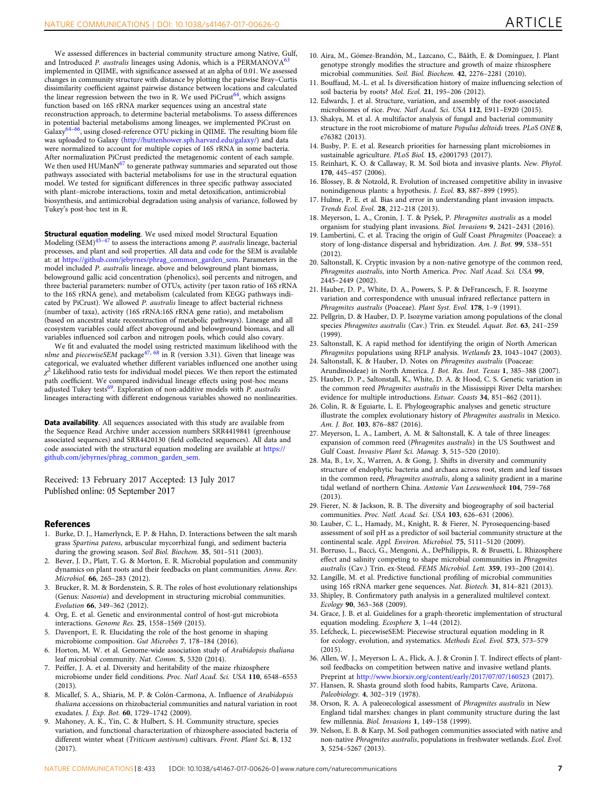<span id="page-8-0"></span>We assessed differences in bacterial community structure among Native, Gulf, and Introduced P. australis lineages using Adonis, which is a  $PERMANOVA<sup>63</sup>$  $PERMANOVA<sup>63</sup>$  $PERMANOVA<sup>63</sup>$ implemented in QIIME, with significance assessed at an alpha of 0.01. We assessed changes in community structure with distance by plotting the pairwise Bray–Curtis dissimilarity coefficient against pairwise distance between locations and calculated the linear regression between the two in R. We used PiCrust<sup>64</sup>, which assigns function based on 16S rRNA marker sequences using an ancestral state reconstruction approach, to determine bacterial metabolisms. To assess differences in potential bacterial metabolisms among lineages, we implemented PiCrust on Galaxy<sup>[64](#page-9-0)–66</sup>, using closed-reference OTU picking in QIIME. The resulting biom file was uploaded to Galaxy [\(http://huttenhower.sph.harvard.edu/galaxy/\)](http://huttenhower.sph.harvard.edu/galaxy/) and data were normalized to account for multiple copies of 16S rRNA in some bacteria. After normalization PiCrust predicted the metagenomic content of each sample. We then used HUManN $^{67}$  $^{67}$  $^{67}$  to generate pathway summaries and separated out those pathways associated with bacterial metabolisms for use in the structural equation model. We tested for significant differences in three specific pathway associated with plant–microbe interactions, toxin and metal detoxification, antimicrobial biosynthesis, and antimicrobial degradation using analysis of variance, followed by Tukey's post-hoc test in R.

Structural equation modeling. We used mixed model Structural Equation Modeling (SEM) $45-47$  $45-47$  $45-47$  to assess the interactions among P. australis lineage, bacterial processes, and plant and soil properties. All data and code for the SEM is available at: at [https://github.com/jebyrnes/phrag\\_common\\_garden\\_sem.](https://github.com/jebyrnes/phrag_common_garden_sem) Parameters in the model included P. australis lineage, above and belowground plant biomass, belowground gallic acid concentration (phenolics), soil percents and nitrogen, and three bacterial parameters: number of OTUs, activity (per taxon ratio of 16S rRNA to the 16S rRNA gene), and metabolism (calculated from KEGG pathways indicated by PiCrust). We allowed P. australis lineage to affect bacterial richness (number of taxa), activity (16S rRNA:16S rRNA gene ratio), and metabolism (based on ancestral state reconstruction of metabolic pathways). Lineage and all ecosystem variables could affect aboveground and belowground biomass, and all variables influenced soil carbon and nitrogen pools, which could also covary.

We fit and evaluated the model using restricted maximum likelihood with the nlme and piecewiseSEM package<sup>[47](#page-9-0), [68](#page-9-0)</sup> in R (version 3.31). Given that lineage was categorical, we evaluated whether different variables influenced one another using  $\chi^2$  Likelihood ratio tests for individual model pieces. We then report the estimated path coefficient. We compared individual lineage effects using post-hoc means adjusted Tukey tests<sup>[69](#page-9-0)</sup>. Exploration of non-additive models with P. australis lineages interacting with different endogenous variables showed no nonlinearities.

Data availability. All sequences associated with this study are available from the Sequence Read Archive under accession numbers SRR4419841 (greenhouse associated sequences) and SRR4420130 (field collected sequences). All data and code associated with the structural equation modeling are available at [https://](https://github.com/jebyrnes/phrag_common_garden_sem) [github.com/jebyrnes/phrag\\_common\\_garden\\_sem.](https://github.com/jebyrnes/phrag_common_garden_sem)

Received: 13 February 2017 Accepted: 13 July 2017 Published online: 05 September 2017

#### References

- 1. Burke, D. J., Hamerlynck, E. P. & Hahn, D. Interactions between the salt marsh grass Spartina patens, arbuscular mycorrhizal fungi, and sediment bacteria during the growing season. Soil Biol. Biochem. 35, 501–511 (2003).
- 2. Bever, J. D., Platt, T. G. & Morton, E. R. Microbial population and community dynamics on plant roots and their feedbacks on plant communities. Annu. Rev. Microbiol. 66, 265–283 (2012).
- 3. Brucker, R. M. & Bordenstein, S. R. The roles of host evolutionary relationships (Genus: Nasonia) and development in structuring microbial communities. Evolution 66, 349–362 (2012).
- 4. Org, E. et al. Genetic and environmental control of host-gut microbiota interactions. Genome Res. 25, 1558–1569 (2015).
- 5. Davenport, E. R. Elucidating the role of the host genome in shaping microbiome composition. Gut Microbes 7, 178–184 (2016).
- 6. Horton, M. W. et al. Genome-wide association study of Arabidopsis thaliana leaf microbial community. Nat. Comm. 5, 5320 (2014).
- 7. Peiffer, J. A. et al. Diversity and heritability of the maize rhizosphere microbiome under field conditions. Proc. Natl Acad. Sci. USA 110, 6548–6553 (2013).
- 8. Micallef, S. A., Shiaris, M. P. & Colón-Carmona, A. Influence of Arabidopsis thaliana accessions on rhizobacterial communities and natural variation in root exudates. J. Exp. Bot. 60, 1729–1742 (2009).
- 9. Mahoney, A. K., Yin, C. & Hulbert, S. H. Community structure, species variation, and functional characterization of rhizosphere-associated bacteria of different winter wheat (Triticum aestivum) cultivars. Front. Plant Sci. 8, 132 (2017).
- 10. Aira, M., Gómez-Brandón, M., Lazcano, C., Bååth, E. & Domínguez, J. Plant genotype strongly modifies the structure and growth of maize rhizosphere microbial communities. Soil. Biol. Biochem. 42, 2276–2281 (2010).
- 11. Bouffaud, M.-L. et al. Is diversification history of maize influencing selection of soil bacteria by roots? Mol. Ecol. 21, 195–206 (2012).
- 12. Edwards, J. et al. Structure, variation, and assembly of the root-associated microbiomes of rice. Proc. Natl Acad. Sci. USA 112, E911–E920 (2015).
- 13. Shakya, M. et al. A multifactor analysis of fungal and bacterial community structure in the root microbiome of mature Populus deltoids trees. PLoS ONE 8, e76382 (2013).
- 14. Busby, P. E. et al. Research priorities for harnessing plant microbiomes in sustainable agriculture. PLoS Biol. 15, e2001793 (2017).
- 15. Reinhart, K. O. & Callaway, R. M. Soil biota and invasive plants. New. Phytol. 170, 445–457 (2006).
- 16. Blossey, B. & Notzold, R. Evolution of increased competitive ability in invasive nonindigenous plants: a hypothesis. J. Ecol. 83, 887–899 (1995).
- 17. Hulme, P. E. et al. Bias and error in understanding plant invasion impacts. Trends Ecol. Evol. 28, 212–218 (2013).
- 18. Meyerson, L. A., Cronin, J. T. & Pyšek, P. Phragmites australis as a model organism for studying plant invasions. Biol. Invasions 9, 2421–2431 (2016).
- 19. Lambertini, C. et al. Tracing the origin of Gulf Coast Phragmites (Poaceae): a story of long-distance dispersal and hybridization. Am. J. Bot. 99, 538–551 (2012).
- 20. Saltonstall, K. Cryptic invasion by a non-native genotype of the common reed, Phragmites australis, into North America. Proc. Natl Acad. Sci. USA 99, 2445–2449 (2002).
- 21. Hauber, D. P., White, D. A., Powers, S. P. & DeFrancesch, F. R. Isozyme variation and correspondence with unusual infrared reflectance pattern in Phragmites australis (Poaceae). Plant Syst. Evol. 178, 1–9 (1991).
- 22. Pellgrin, D. & Hauber, D. P. Isozyme variation among populations of the clonal species Phragmites australis (Cav.) Trin. ex Steudel. Aquat. Bot. 63, 241–259 (1999).
- 23. Saltonstall, K. A rapid method for identifying the origin of North American Phragmites populations using RFLP analysis. Wetlands 23, 1043–1047 (2003).
- 24. Saltonstall, K. & Hauber, D. Notes on Phragmites australis (Poaceae: Arundinoideae) in North America. J. Bot. Res. Inst. Texas 1, 385–388 (2007).
- 25. Hauber, D. P., Saltonstall, K., White, D. A. & Hood, C. S. Genetic variation in the common reed Phragmites australis in the Mississippi River Delta marshes: evidence for multiple introductions. Estuar. Coasts 34, 851–862 (2011).
- 26. Colin, R. & Eguiarte, L. E. Phylogeographic analyses and genetic structure illustrate the complex evolutionary history of Phragmites australis in Mexico. Am. J. Bot. 103, 876–887 (2016).
- 27. Meyerson, L. A., Lambert, A. M. & Saltonstall, K. A tale of three lineages: expansion of common reed (Phragmites australis) in the US Southwest and Gulf Coast. Invasive Plant Sci. Manag. 3, 515–520 (2010).
- 28. Ma, B., Lv, X., Warren, A. & Gong, J. Shifts in diversity and community structure of endophytic bacteria and archaea across root, stem and leaf tissues in the common reed, Phragmites australis, along a salinity gradient in a marine tidal wetland of northern China. Antonie Van Leeuwenhoek 104, 759–768 (2013).
- 29. Fierer, N. & Jackson, R. B. The diversity and biogeography of soil bacterial communities. Proc. Natl. Acad. Sci. USA 103, 626–631 (2006).
- 30. Lauber, C. L., Hamady, M., Knight, R. & Fierer, N. Pyrosequencing-based assessment of soil pH as a predictor of soil bacterial community structure at the continental scale. Appl. Environ. Microbiol. 75, 5111–5120 (2009).
- 31. Borruso, L., Bacci, G., Mengoni, A., DePhilippis, R. & Brusetti, L. Rhizosphere effect and salinity competing to shape microbial communities in Phragmites australis (Cav.) Trin. ex-Steud. FEMS Microbiol. Lett. 359, 193–200 (2014).
- 32. Langille, M. et al. Predictive functional profiling of microbial communities using 16S rRNA marker gene sequences. Nat. Biotech. 31, 814–821 (2013).
- 33. Shipley, B. Confirmatory path analysis in a generalized multilevel context. Ecology 90, 363–368 (2009).
- 34. Grace, J. B. et al. Guidelines for a graph-theoretic implementation of structural equation modeling. Ecosphere 3, 1–44 (2012).
- 35. Lefcheck, L. piecewiseSEM: Piecewise structural equation modeling in R for ecology, evolution, and systematics. Methods Ecol. Evol. 573, 573–579 (2015).
- 36. Allen, W. J., Meyerson L. A., Flick, A. J. & Cronin J. T. Indirect effects of plantsoil feedbacks on competition between native and invasive wetland plants. Preprint at <http://www.biorxiv.org/content/early/2017/07/07/160523> (2017).
- 37. Hansen, R. Shasta ground sloth food habits, Ramparts Cave, Arizona. Paleobiology. 4, 302–319 (1978).
- 38. Orson, R. A. A paleoecological assessment of Phragmites australis in New England tidal marshes: changes in plant community structure during the last few millennia. Biol. Invasions 1, 149–158 (1999).
- 39. Nelson, E. B. & Karp, M. Soil pathogen communities associated with native and non-native Phragmites australis, populations in freshwater wetlands. Ecol. Evol. 3, 5254–5267 (2013).